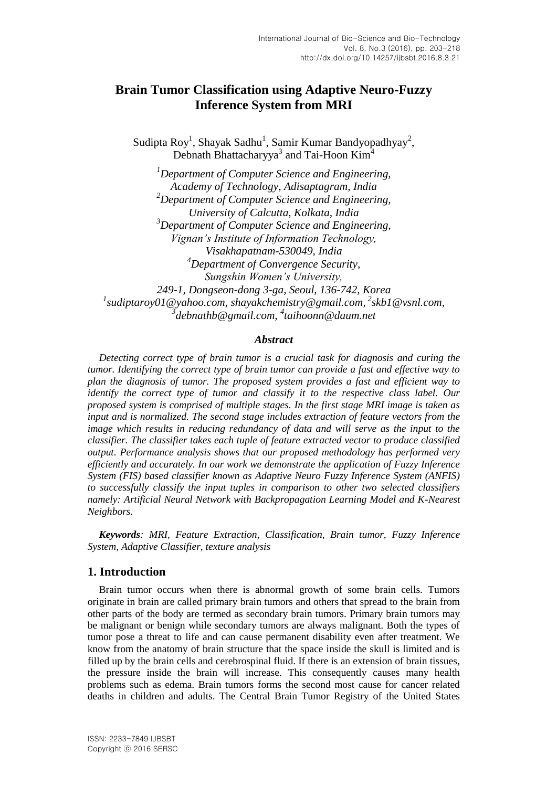# **Brain Tumor Classification using Adaptive Neuro-Fuzzy Inference System from MRI**

Sudipta Roy<sup>1</sup>, Shayak Sadhu<sup>1</sup>, Samir Kumar Bandyopadhyay<sup>2</sup>, Debnath Bhattacharyya<sup>3</sup> and Tai-Hoon Kim<sup>4</sup>

*<sup>1</sup>Department of Computer Science and Engineering, Academy of Technology, Adisaptagram, India <sup>2</sup>Department of Computer Science and Engineering, University of Calcutta, Kolkata, India <sup>3</sup>Department of Computer Science and Engineering, Vignan's Institute of Information Technology, Visakhapatnam-530049, India <sup>4</sup>Department of Convergence Security, Sungshin Women's University, 249-1, Dongseon-dong 3-ga, Seoul, 136-742, Korea* <sup>1</sup>sudiptaroy01@yahoo.com, shayakchemistry@gmail.com, <sup>2</sup>skb1@vsnl.com, *3 debnathb@gmail.com, 4 taihoonn@daum.net*

#### *Abstract*

*Detecting correct type of brain tumor is a crucial task for diagnosis and curing the tumor. Identifying the correct type of brain tumor can provide a fast and effective way to plan the diagnosis of tumor. The proposed system provides a fast and efficient way to identify the correct type of tumor and classify it to the respective class label. Our proposed system is comprised of multiple stages. In the first stage MRI image is taken as input and is normalized. The second stage includes extraction of feature vectors from the image which results in reducing redundancy of data and will serve as the input to the classifier. The classifier takes each tuple of feature extracted vector to produce classified output. Performance analysis shows that our proposed methodology has performed very efficiently and accurately. In our work we demonstrate the application of Fuzzy Inference System (FIS) based classifier known as Adaptive Neuro Fuzzy Inference System (ANFIS) to successfully classify the input tuples in comparison to other two selected classifiers namely: Artificial Neural Network with Backpropagation Learning Model and K-Nearest Neighbors.*

*Keywords: MRI, Feature Extraction, Classification, Brain tumor, Fuzzy Inference System, Adaptive Classifier, texture analysis*

### **1. Introduction**

Brain tumor occurs when there is abnormal growth of some brain cells. Tumors originate in brain are called primary brain tumors and others that spread to the brain from other parts of the body are termed as secondary brain tumors. Primary brain tumors may be malignant or benign while secondary tumors are always malignant. Both the types of tumor pose a threat to life and can cause permanent disability even after treatment. We know from the anatomy of brain structure that the space inside the skull is limited and is filled up by the brain cells and cerebrospinal fluid. If there is an extension of brain tissues, the pressure inside the brain will increase. This consequently causes many health problems such as edema. Brain tumors forms the second most cause for cancer related deaths in children and adults. The Central Brain Tumor Registry of the United States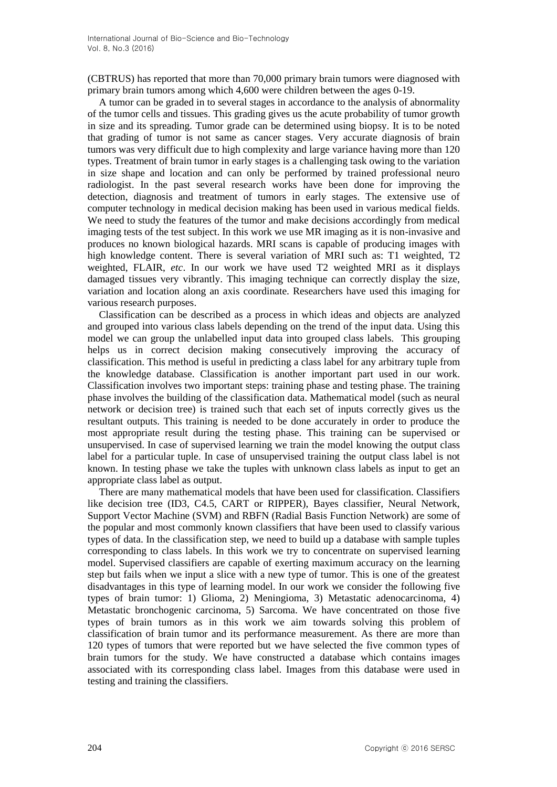(CBTRUS) has reported that more than 70,000 primary brain tumors were diagnosed with primary brain tumors among which 4,600 were children between the ages 0-19.

A tumor can be graded in to several stages in accordance to the analysis of abnormality of the tumor cells and tissues. This grading gives us the acute probability of tumor growth in size and its spreading. Tumor grade can be determined using biopsy. It is to be noted that grading of tumor is not same as cancer stages. Very accurate diagnosis of brain tumors was very difficult due to high complexity and large variance having more than 120 types. Treatment of brain tumor in early stages is a challenging task owing to the variation in size shape and location and can only be performed by trained professional neuro radiologist. In the past several research works have been done for improving the detection, diagnosis and treatment of tumors in early stages. The extensive use of computer technology in medical decision making has been used in various medical fields. We need to study the features of the tumor and make decisions accordingly from medical imaging tests of the test subject. In this work we use MR imaging as it is non-invasive and produces no known biological hazards. MRI scans is capable of producing images with high knowledge content. There is several variation of MRI such as: T1 weighted, T2 weighted, FLAIR, *etc*. In our work we have used T2 weighted MRI as it displays damaged tissues very vibrantly. This imaging technique can correctly display the size, variation and location along an axis coordinate. Researchers have used this imaging for various research purposes.

Classification can be described as a process in which ideas and objects are analyzed and grouped into various class labels depending on the trend of the input data. Using this model we can group the unlabelled input data into grouped class labels. This grouping helps us in correct decision making consecutively improving the accuracy of classification. This method is useful in predicting a class label for any arbitrary tuple from the knowledge database. Classification is another important part used in our work. Classification involves two important steps: training phase and testing phase. The training phase involves the building of the classification data. Mathematical model (such as neural network or decision tree) is trained such that each set of inputs correctly gives us the resultant outputs. This training is needed to be done accurately in order to produce the most appropriate result during the testing phase. This training can be supervised or unsupervised. In case of supervised learning we train the model knowing the output class label for a particular tuple. In case of unsupervised training the output class label is not known. In testing phase we take the tuples with unknown class labels as input to get an appropriate class label as output.

There are many mathematical models that have been used for classification. Classifiers like decision tree (ID3, C4.5, CART or RIPPER), Bayes classifier, Neural Network, Support Vector Machine (SVM) and RBFN (Radial Basis Function Network) are some of the popular and most commonly known classifiers that have been used to classify various types of data. In the classification step, we need to build up a database with sample tuples corresponding to class labels. In this work we try to concentrate on supervised learning model. Supervised classifiers are capable of exerting maximum accuracy on the learning step but fails when we input a slice with a new type of tumor. This is one of the greatest disadvantages in this type of learning model. In our work we consider the following five types of brain tumor: 1) Glioma, 2) Meningioma, 3) Metastatic adenocarcinoma, 4) Metastatic bronchogenic carcinoma, 5) Sarcoma. We have concentrated on those five types of brain tumors as in this work we aim towards solving this problem of classification of brain tumor and its performance measurement. As there are more than 120 types of tumors that were reported but we have selected the five common types of brain tumors for the study. We have constructed a database which contains images associated with its corresponding class label. Images from this database were used in testing and training the classifiers.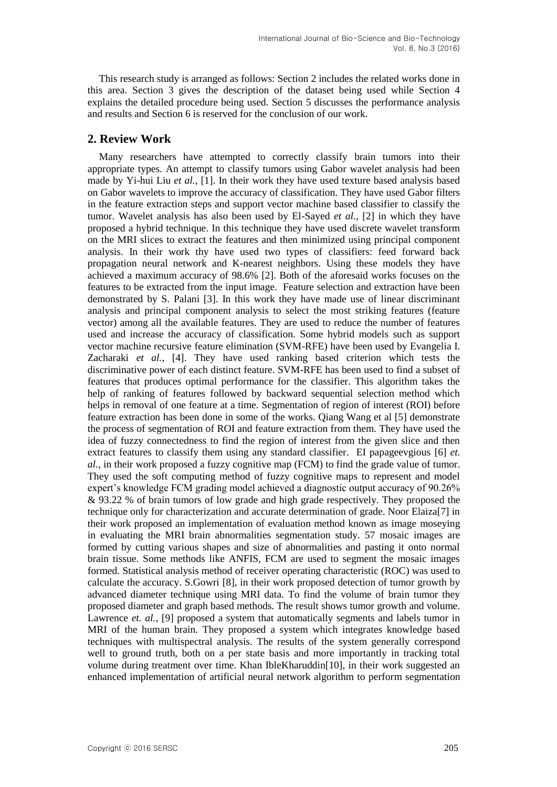This research study is arranged as follows: Section 2 includes the related works done in this area. Section 3 gives the description of the dataset being used while Section 4 explains the detailed procedure being used. Section 5 discusses the performance analysis and results and Section 6 is reserved for the conclusion of our work.

## **2. Review Work**

Many researchers have attempted to correctly classify brain tumors into their appropriate types. An attempt to classify tumors using Gabor wavelet analysis had been made by Yi-hui Liu *et al.*, [1]. In their work they have used texture based analysis based on Gabor wavelets to improve the accuracy of classification. They have used Gabor filters in the feature extraction steps and support vector machine based classifier to classify the tumor. Wavelet analysis has also been used by El-Sayed *et al.*, [2] in which they have proposed a hybrid technique. In this technique they have used discrete wavelet transform on the MRI slices to extract the features and then minimized using principal component analysis. In their work thy have used two types of classifiers: feed forward back propagation neural network and K-nearest neighbors. Using these models they have achieved a maximum accuracy of 98.6% [2]. Both of the aforesaid works focuses on the features to be extracted from the input image. Feature selection and extraction have been demonstrated by S. Palani [3]. In this work they have made use of linear discriminant analysis and principal component analysis to select the most striking features (feature vector) among all the available features. They are used to reduce the number of features used and increase the accuracy of classification. Some hybrid models such as support vector machine recursive feature elimination (SVM-RFE) have been used by Evangelia I. Zacharaki *et al.*, [4]. They have used ranking based criterion which tests the discriminative power of each distinct feature. SVM-RFE has been used to find a subset of features that produces optimal performance for the classifier. This algorithm takes the help of ranking of features followed by backward sequential selection method which helps in removal of one feature at a time. Segmentation of region of interest (ROI) before feature extraction has been done in some of the works. Qiang Wang et al [5] demonstrate the process of segmentation of ROI and feature extraction from them. They have used the idea of fuzzy connectedness to find the region of interest from the given slice and then extract features to classify them using any standard classifier. EI papageevgious [6] *et. al.*, in their work proposed a fuzzy cognitive map (FCM) to find the grade value of tumor. They used the soft computing method of fuzzy cognitive maps to represent and model expert's knowledge FCM grading model achieved a diagnostic output accuracy of 90.26% & 93.22 % of brain tumors of low grade and high grade respectively. They proposed the technique only for characterization and accurate determination of grade. Noor Elaiza[7] in their work proposed an implementation of evaluation method known as image moseying in evaluating the MRI brain abnormalities segmentation study. 57 mosaic images are formed by cutting various shapes and size of abnormalities and pasting it onto normal brain tissue. Some methods like ANFIS, FCM are used to segment the mosaic images formed. Statistical analysis method of receiver operating characteristic (ROC) was used to calculate the accuracy. S.Gowri [8], in their work proposed detection of tumor growth by advanced diameter technique using MRI data. To find the volume of brain tumor they proposed diameter and graph based methods. The result shows tumor growth and volume. Lawrence *et. al.*, [9] proposed a system that automatically segments and labels tumor in MRI of the human brain. They proposed a system which integrates knowledge based techniques with multispectral analysis. The results of the system generally correspond well to ground truth, both on a per state basis and more importantly in tracking total volume during treatment over time. Khan IbleKharuddin[10], in their work suggested an enhanced implementation of artificial neural network algorithm to perform segmentation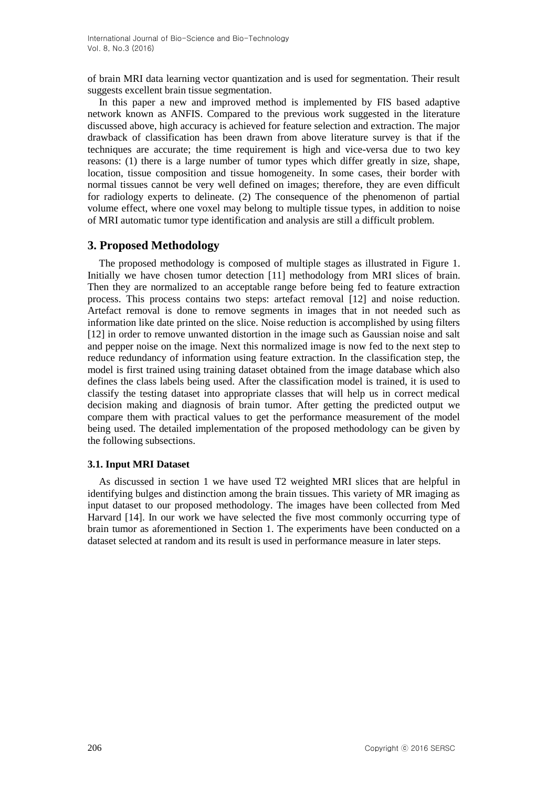of brain MRI data learning vector quantization and is used for segmentation. Their result suggests excellent brain tissue segmentation.

In this paper a new and improved method is implemented by FIS based adaptive network known as ANFIS. Compared to the previous work suggested in the literature discussed above, high accuracy is achieved for feature selection and extraction. The major drawback of classification has been drawn from above literature survey is that if the techniques are accurate; the time requirement is high and vice-versa due to two key reasons: (1) there is a large number of tumor types which differ greatly in size, shape, location, tissue composition and tissue homogeneity. In some cases, their border with normal tissues cannot be very well defined on images; therefore, they are even difficult for radiology experts to delineate. (2) The consequence of the phenomenon of partial volume effect, where one voxel may belong to multiple tissue types, in addition to noise of MRI automatic tumor type identification and analysis are still a difficult problem.

## **3. Proposed Methodology**

The proposed methodology is composed of multiple stages as illustrated in Figure 1. Initially we have chosen tumor detection [11] methodology from MRI slices of brain. Then they are normalized to an acceptable range before being fed to feature extraction process. This process contains two steps: artefact removal [12] and noise reduction. Artefact removal is done to remove segments in images that in not needed such as information like date printed on the slice. Noise reduction is accomplished by using filters [12] in order to remove unwanted distortion in the image such as Gaussian noise and salt and pepper noise on the image. Next this normalized image is now fed to the next step to reduce redundancy of information using feature extraction. In the classification step, the model is first trained using training dataset obtained from the image database which also defines the class labels being used. After the classification model is trained, it is used to classify the testing dataset into appropriate classes that will help us in correct medical decision making and diagnosis of brain tumor. After getting the predicted output we compare them with practical values to get the performance measurement of the model being used. The detailed implementation of the proposed methodology can be given by the following subsections.

### **3.1. Input MRI Dataset**

As discussed in section 1 we have used T2 weighted MRI slices that are helpful in identifying bulges and distinction among the brain tissues. This variety of MR imaging as input dataset to our proposed methodology. The images have been collected from Med Harvard [14]. In our work we have selected the five most commonly occurring type of brain tumor as aforementioned in Section 1. The experiments have been conducted on a dataset selected at random and its result is used in performance measure in later steps.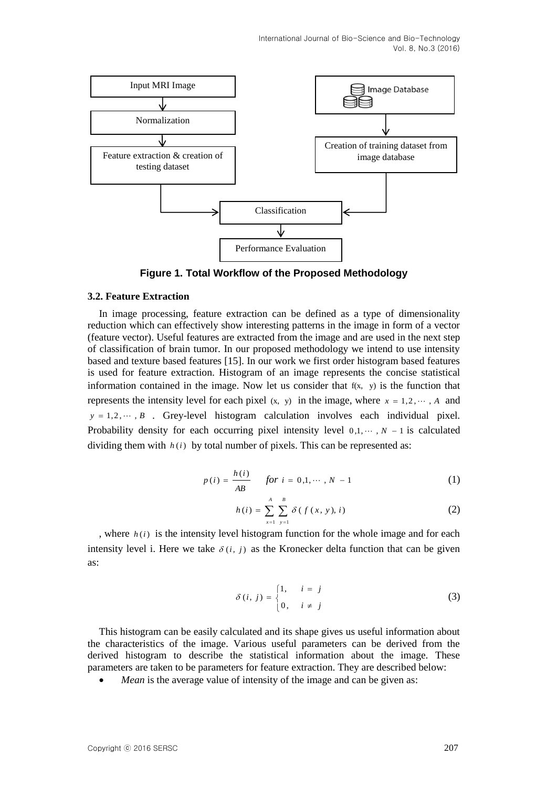

**Figure 1. Total Workflow of the Proposed Methodology**

#### **3.2. Feature Extraction**

In image processing, feature extraction can be defined as a type of dimensionality reduction which can effectively show interesting patterns in the image in form of a vector (feature vector). Useful features are extracted from the image and are used in the next step of classification of brain tumor. In our proposed methodology we intend to use intensity based and texture based features [15]. In our work we first order histogram based features is used for feature extraction. Histogram of an image represents the concise statistical information contained in the image. Now let us consider that  $f(x, y)$  is the function that represents the intensity level for each pixel  $(x, y)$  in the image, where  $x = 1, 2, \dots, A$  and  $y = 1, 2, \dots, B$  . Grey-level histogram calculation involves each individual pixel. Probability density for each occurring pixel intensity level  $0,1, \dots, N-1$  is calculated dividing them with  $h(i)$  by total number of pixels. This can be represented as:

$$
p(i) = \frac{h(i)}{AB} \quad \text{for } i = 0, 1, \dots, N - 1 \tag{1}
$$

$$
h(i) = \sum_{x=1}^{A} \sum_{y=1}^{B} \delta(f(x, y), i)
$$
 (2)

, where  $h(i)$  is the intensity level histogram function for the whole image and for each intensity level i. Here we take  $\delta(i, j)$  as the Kronecker delta function that can be given as:

$$
\delta(i, j) = \begin{cases} 1, & i = j \\ 0, & i \neq j \end{cases}
$$
 (3)

This histogram can be easily calculated and its shape gives us useful information about the characteristics of the image. Various useful parameters can be derived from the derived histogram to describe the statistical information about the image. These parameters are taken to be parameters for feature extraction. They are described below:

*Mean* is the average value of intensity of the image and can be given as: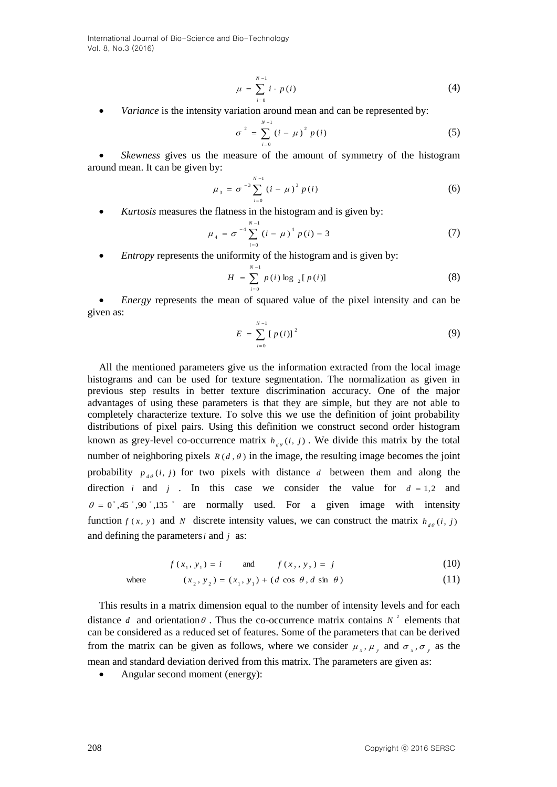$$
\mu = \sum_{i=0}^{N-1} i \cdot p(i) \tag{4}
$$

• *Variance* is the intensity variation around mean and can be represented by:

$$
\sigma^{2} = \sum_{i=0}^{N-1} (i - \mu)^{2} p(i)
$$
 (5)

 *Skewness* gives us the measure of the amount of symmetry of the histogram around mean. It can be given by:

$$
\mu_{3} = \sigma^{-3} \sum_{i=0}^{N-1} (i - \mu)^{3} p(i)
$$
 (6)

*Kurtosis* measures the flatness in the histogram and is given by:

$$
\mu_4 = \sigma^{-4} \sum_{i=0}^{N-1} (i - \mu)^4 p(i) - 3 \tag{7}
$$

• *Entropy* represents the uniformity of the histogram and is given by:

$$
H = \sum_{i=0}^{N-1} p(i) \log_{2}[p(i)] \tag{8}
$$

 *Energy* represents the mean of squared value of the pixel intensity and can be given as:

$$
E = \sum_{i=0}^{N-1} [p(i)]^2
$$
 (9)

All the mentioned parameters give us the information extracted from the local image histograms and can be used for texture segmentation. The normalization as given in previous step results in better texture discrimination accuracy. One of the major advantages of using these parameters is that they are simple, but they are not able to completely characterize texture. To solve this we use the definition of joint probability distributions of pixel pairs. Using this definition we construct second order histogram known as grey-level co-occurrence matrix  $h_{a\theta}(i, j)$ . We divide this matrix by the total number of neighboring pixels  $R(d, \theta)$  in the image, the resulting image becomes the joint probability  $p_{d\theta}(i, j)$  for two pixels with distance d between them and along the direction *i* and *j*. In this case we consider the value for  $d = 1,2$  and  $\theta = 0^{\degree}, 45^{\degree}, 90^{\degree}, 135^{\degree}$  are normally used. For a given image with intensity function  $f(x, y)$  and *N* discrete intensity values, we can construct the matrix  $h_{d\theta}(i, j)$ and defining the parameters *i* and *j* as:

$$
f(x_1, y_1) = i
$$
 and  $f(x_2, y_2) = j$  (10)

where 
$$
(x_2, y_2) = (x_1, y_1) + (d \cos \theta, d \sin \theta)
$$
 (11)

This results in a matrix dimension equal to the number of intensity levels and for each distance *d* and orientation  $\theta$ . Thus the co-occurrence matrix contains  $N^2$  elements that can be considered as a reduced set of features. Some of the parameters that can be derived from the matrix can be given as follows, where we consider  $\mu_x$ ,  $\mu_y$  and  $\sigma_x$ ,  $\sigma_y$  as the mean and standard deviation derived from this matrix. The parameters are given as:

Angular second moment (energy):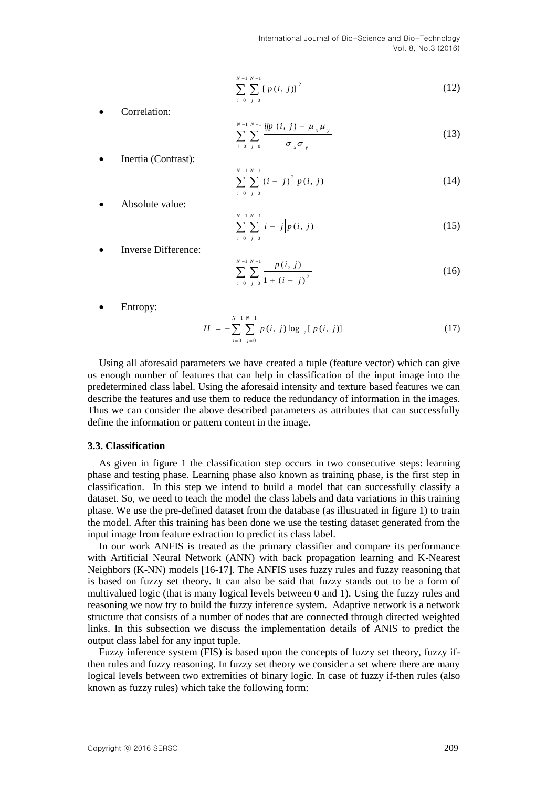$$
\sum_{i=0}^{N-1} \sum_{j=0}^{N-1} [p(i, j)]^2
$$
 (12)

Correlation:

$$
\sum_{i=0}^{N-1} \sum_{j=0}^{N-1} \frac{ijp(i, j) - \mu_x \mu_y}{\sigma_x \sigma_y}
$$
 (13)

Inertia (Contrast):

*i*

*i*

$$
\sum_{i=0}^{N-1} \sum_{j=0}^{N-1} (i-j)^2 p(i, j) \tag{14}
$$

Absolute value:

$$
\sum_{i=0}^{N-1} \sum_{j=0}^{N-1} \left| i-j \right| p(i, j) \tag{15}
$$

Inverse Difference:

$$
\sum_{i=0}^{N-1} \sum_{j=0}^{N-1} \frac{p(i, j)}{1 + (i - j)^2}
$$
 (16)

Entropy:

$$
H = -\sum_{i=0}^{N-1} \sum_{j=0}^{N-1} p(i, j) \log \left[ p(i, j) \right]
$$
 (17)

Using all aforesaid parameters we have created a tuple (feature vector) which can give us enough number of features that can help in classification of the input image into the predetermined class label. Using the aforesaid intensity and texture based features we can describe the features and use them to reduce the redundancy of information in the images. Thus we can consider the above described parameters as attributes that can successfully define the information or pattern content in the image.

#### **3.3. Classification**

As given in figure 1 the classification step occurs in two consecutive steps: learning phase and testing phase. Learning phase also known as training phase, is the first step in classification. In this step we intend to build a model that can successfully classify a dataset. So, we need to teach the model the class labels and data variations in this training phase. We use the pre-defined dataset from the database (as illustrated in figure 1) to train the model. After this training has been done we use the testing dataset generated from the input image from feature extraction to predict its class label.

Corollation:<br>
Contradine:<br>  $\sum_{x} \sum_{j=1}^{n} g_i(t, j) = p_i(t, j)$ <br>
Leading Countries (Contrast):<br>
Leading Contrast):<br>
Leading Contrastic Contrastic Contrastic Contrast):<br>  $\sum_{x} \sum_{j=1}^{n} g_j(t, j) = p_j(t, j)$  (14<br>
Absolute value:<br>  $\sum_{x$ In our work ANFIS is treated as the primary classifier and compare its performance with Artificial Neural Network (ANN) with back propagation learning and K-Nearest Neighbors (K-NN) models [16-17]. The ANFIS uses fuzzy rules and fuzzy reasoning that is based on fuzzy set theory. It can also be said that fuzzy stands out to be a form of multivalued logic (that is many logical levels between 0 and 1). Using the fuzzy rules and reasoning we now try to build the fuzzy inference system. Adaptive network is a network structure that consists of a number of nodes that are connected through directed weighted links. In this subsection we discuss the implementation details of ANIS to predict the output class label for any input tuple.

Fuzzy inference system (FIS) is based upon the concepts of fuzzy set theory, fuzzy ifthen rules and fuzzy reasoning. In fuzzy set theory we consider a set where there are many logical levels between two extremities of binary logic. In case of fuzzy if-then rules (also known as fuzzy rules) which take the following form: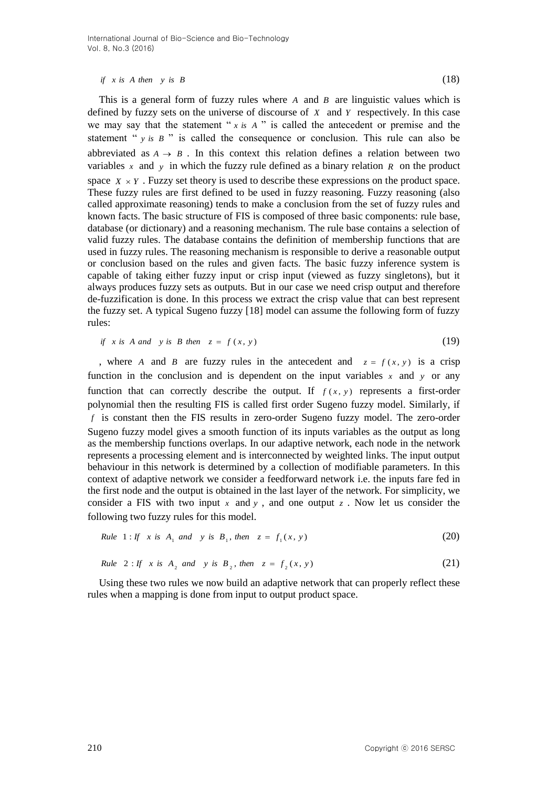#### *if*  $x$  *is*  $A$  *then*  $y$  *is*  $B$  (18)

This is a general form of fuzzy rules where  $A$  and  $B$  are linguistic values which is defined by fuzzy sets on the universe of discourse of *X* and *Y* respectively. In this case we may say that the statement " $x$  *is A*" is called the antecedent or premise and the statement " $y$  *is*  $B$ " is called the consequence or conclusion. This rule can also be abbreviated as  $A \rightarrow B$ . In this context this relation defines a relation between two variables x and y in which the fuzzy rule defined as a binary relation  $R$  on the product space  $X \times Y$ . Fuzzy set theory is used to describe these expressions on the product space. These fuzzy rules are first defined to be used in fuzzy reasoning. Fuzzy reasoning (also called approximate reasoning) tends to make a conclusion from the set of fuzzy rules and known facts. The basic structure of FIS is composed of three basic components: rule base, database (or dictionary) and a reasoning mechanism. The rule base contains a selection of valid fuzzy rules. The database contains the definition of membership functions that are used in fuzzy rules. The reasoning mechanism is responsible to derive a reasonable output or conclusion based on the rules and given facts. The basic fuzzy inference system is capable of taking either fuzzy input or crisp input (viewed as fuzzy singletons), but it always produces fuzzy sets as outputs. But in our case we need crisp output and therefore de-fuzzification is done. In this process we extract the crisp value that can best represent the fuzzy set. A typical Sugeno fuzzy [18] model can assume the following form of fuzzy rules:

if x is A and y is B then 
$$
z = f(x, y)
$$
 (19)

, where *A* and *B* are fuzzy rules in the antecedent and  $z = f(x, y)$  is a crisp function in the conclusion and is dependent on the input variables  $x$  and  $y$  or any function that can correctly describe the output. If  $f(x, y)$  represents a first-order polynomial then the resulting FIS is called first order Sugeno fuzzy model. Similarly, if *f* is constant then the FIS results in zero-order Sugeno fuzzy model. The zero-order Sugeno fuzzy model gives a smooth function of its inputs variables as the output as long as the membership functions overlaps. In our adaptive network, each node in the network represents a processing element and is interconnected by weighted links. The input output behaviour in this network is determined by a collection of modifiable parameters. In this context of adaptive network we consider a feedforward network i.e. the inputs fare fed in the first node and the output is obtained in the last layer of the network. For simplicity, we consider a FIS with two input  $x$  and  $y$ , and one output  $z$ . Now let us consider the following two fuzzy rules for this model.

*Rule* 1: *If* x is 
$$
A_1
$$
 and y is  $B_1$ , then  $z = f_1(x, y)$  (20)

*Rule* 2: If x is 
$$
A_2
$$
 and y is  $B_2$ , then  $z = f_2(x, y)$  (21)

Using these two rules we now build an adaptive network that can properly reflect these rules when a mapping is done from input to output product space.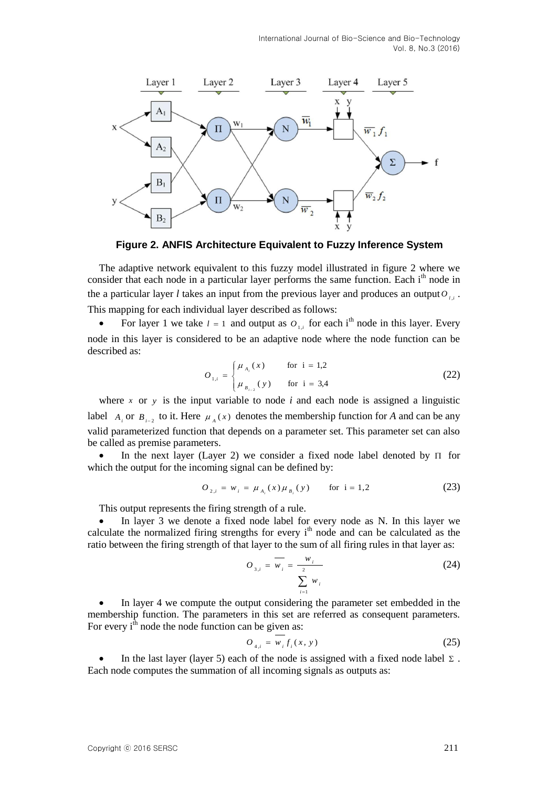

**Figure 2. ANFIS Architecture Equivalent to Fuzzy Inference System**

The adaptive network equivalent to this fuzzy model illustrated in figure 2 where we consider that each node in a particular layer performs the same function. Each  $i<sup>th</sup>$  node in the a particular layer *l* takes an input from the previous layer and produces an output  $O_{i,i}$ . This mapping for each individual layer described as follows:

• For layer 1 we take  $l = 1$  and output as  $O_{1,i}$  for each i<sup>th</sup> node in this layer. Every node in this layer is considered to be an adaptive node where the node function can be described as:

$$
O_{1,i} = \begin{cases} \mu_{A_i}(x) & \text{for } i = 1,2\\ \mu_{B_{i-2}}(y) & \text{for } i = 3,4 \end{cases}
$$
 (22)

where  $x$  or  $y$  is the input variable to node  $i$  and each node is assigned a linguistic label  $A_i$  or  $B_{i-2}$  to it. Here  $\mu_A(x)$  denotes the membership function for *A* and can be any valid parameterized function that depends on a parameter set. This parameter set can also be called as premise parameters.

• In the next layer (Layer 2) we consider a fixed node label denoted by  $\Pi$  for which the output for the incoming signal can be defined by:

$$
O_{2,i} = w_i = \mu_{A_i}(x) \mu_{B_i}(y) \quad \text{for } i = 1,2 \tag{23}
$$

This output represents the firing strength of a rule.

 In layer 3 we denote a fixed node label for every node as N. In this layer we calculate the normalized firing strengths for every i<sup>th</sup> node and can be calculated as the ratio between the firing strength of that layer to the sum of all firing rules in that layer as:

$$
O_{3,i} = \overline{w_i} = \frac{w_i}{\sum_{i=1}^{2} w_i}
$$
 (24)

 In layer 4 we compute the output considering the parameter set embedded in the membership function. The parameters in this set are referred as consequent parameters. For every  $i<sup>th</sup>$  node the node function can be given as:

$$
O_{4,i} = w_i f_i(x, y) \tag{25}
$$

• In the last layer (layer 5) each of the node is assigned with a fixed node label  $\Sigma$ . Each node computes the summation of all incoming signals as outputs as: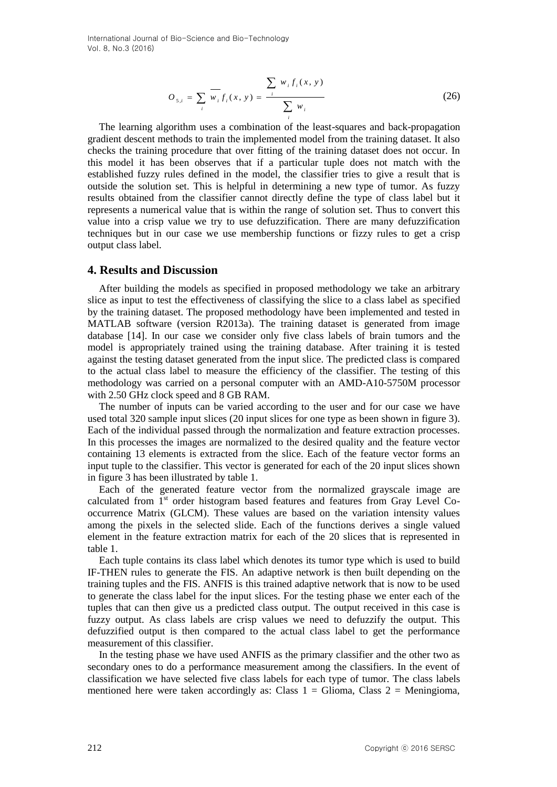$$
O_{s,i} = \sum_{i} \overline{w_i} f_i(x, y) = \frac{\sum_{i} w_i f_i(x, y)}{\sum_{i} w_i}
$$
 (26)

The learning algorithm uses a combination of the least-squares and back-propagation gradient descent methods to train the implemented model from the training dataset. It also checks the training procedure that over fitting of the training dataset does not occur. In this model it has been observes that if a particular tuple does not match with the established fuzzy rules defined in the model, the classifier tries to give a result that is outside the solution set. This is helpful in determining a new type of tumor. As fuzzy results obtained from the classifier cannot directly define the type of class label but it represents a numerical value that is within the range of solution set. Thus to convert this value into a crisp value we try to use defuzzification. There are many defuzzification techniques but in our case we use membership functions or fizzy rules to get a crisp output class label.

#### **4. Results and Discussion**

After building the models as specified in proposed methodology we take an arbitrary slice as input to test the effectiveness of classifying the slice to a class label as specified by the training dataset. The proposed methodology have been implemented and tested in MATLAB software (version R2013a). The training dataset is generated from image database [14]. In our case we consider only five class labels of brain tumors and the model is appropriately trained using the training database. After training it is tested against the testing dataset generated from the input slice. The predicted class is compared to the actual class label to measure the efficiency of the classifier. The testing of this methodology was carried on a personal computer with an AMD-A10-5750M processor with 2.50 GHz clock speed and 8 GB RAM.

The number of inputs can be varied according to the user and for our case we have used total 320 sample input slices (20 input slices for one type as been shown in figure 3). Each of the individual passed through the normalization and feature extraction processes. In this processes the images are normalized to the desired quality and the feature vector containing 13 elements is extracted from the slice. Each of the feature vector forms an input tuple to the classifier. This vector is generated for each of the 20 input slices shown in figure 3 has been illustrated by table 1.

Each of the generated feature vector from the normalized grayscale image are calculated from 1st order histogram based features and features from Gray Level Cooccurrence Matrix (GLCM). These values are based on the variation intensity values among the pixels in the selected slide. Each of the functions derives a single valued element in the feature extraction matrix for each of the 20 slices that is represented in table 1.

Each tuple contains its class label which denotes its tumor type which is used to build IF-THEN rules to generate the FIS. An adaptive network is then built depending on the training tuples and the FIS. ANFIS is this trained adaptive network that is now to be used to generate the class label for the input slices. For the testing phase we enter each of the tuples that can then give us a predicted class output. The output received in this case is fuzzy output. As class labels are crisp values we need to defuzzify the output. This defuzzified output is then compared to the actual class label to get the performance measurement of this classifier.

In the testing phase we have used ANFIS as the primary classifier and the other two as secondary ones to do a performance measurement among the classifiers. In the event of classification we have selected five class labels for each type of tumor. The class labels mentioned here were taken accordingly as: Class  $1 = \text{Glioma}$ , Class  $2 = \text{Meningioma}$ ,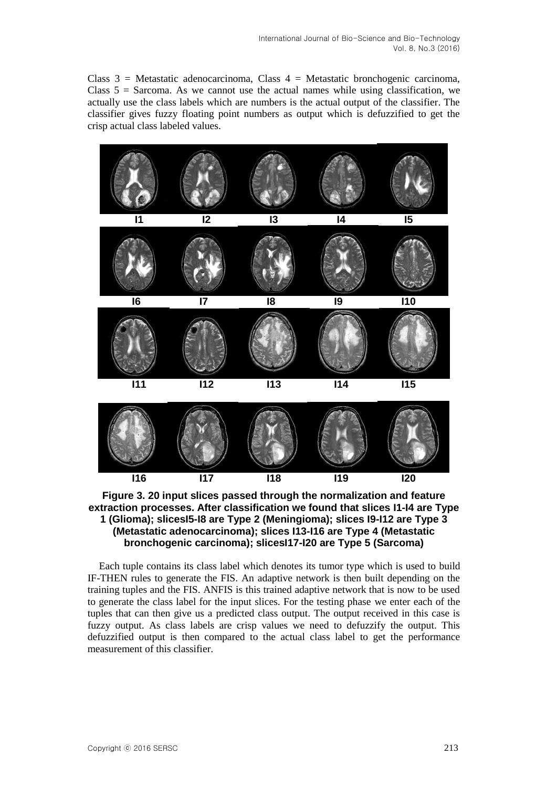Class  $3 =$  Metastatic adenocarcinoma, Class  $4 =$  Metastatic bronchogenic carcinoma, Class  $5 =$  Sarcoma. As we cannot use the actual names while using classification, we actually use the class labels which are numbers is the actual output of the classifier. The classifier gives fuzzy floating point numbers as output which is defuzzified to get the crisp actual class labeled values.



**Figure 3. 20 input slices passed through the normalization and feature extraction processes. After classification we found that slices I1-I4 are Type 1 (Glioma); slicesI5-I8 are Type 2 (Meningioma); slices I9-I12 are Type 3 (Metastatic adenocarcinoma); slices I13-I16 are Type 4 (Metastatic bronchogenic carcinoma); slicesI17-I20 are Type 5 (Sarcoma)**

Each tuple contains its class label which denotes its tumor type which is used to build IF-THEN rules to generate the FIS. An adaptive network is then built depending on the training tuples and the FIS. ANFIS is this trained adaptive network that is now to be used to generate the class label for the input slices. For the testing phase we enter each of the tuples that can then give us a predicted class output. The output received in this case is fuzzy output. As class labels are crisp values we need to defuzzify the output. This defuzzified output is then compared to the actual class label to get the performance measurement of this classifier.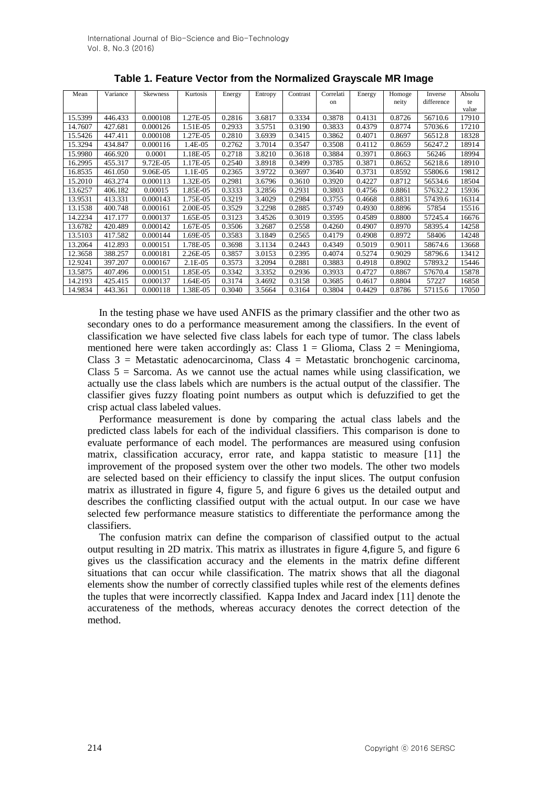| Mean    | Variance | <b>Skewness</b> | Kurtosis   | Energy | Entropy | Contrast | Correlati | Energy | Homoge | Inverse    | Absolu |
|---------|----------|-----------------|------------|--------|---------|----------|-----------|--------|--------|------------|--------|
|         |          |                 |            |        |         |          | on        |        | neity  | difference | te     |
|         |          |                 |            |        |         |          |           |        |        |            | value  |
| 15.5399 | 446.433  | 0.000108        | 1.27E-05   | 0.2816 | 3.6817  | 0.3334   | 0.3878    | 0.4131 | 0.8726 | 56710.6    | 17910  |
| 14.7607 | 427.681  | 0.000126        | 1.51E-05   | 0.2933 | 3.5751  | 0.3190   | 0.3833    | 0.4379 | 0.8774 | 57036.6    | 17210  |
| 15.5426 | 447.411  | 0.000108        | 1.27E-05   | 0.2810 | 3.6939  | 0.3415   | 0.3862    | 0.4071 | 0.8697 | 56512.8    | 18328  |
| 15.3294 | 434.847  | 0.000116        | 1.4E-05    | 0.2762 | 3.7014  | 0.3547   | 0.3508    | 0.4112 | 0.8659 | 56247.2    | 18914  |
| 15.9980 | 466.920  | 0.0001          | 1.18E-05   | 0.2718 | 3.8210  | 0.3618   | 0.3884    | 0.3971 | 0.8663 | 56246      | 18994  |
| 16.2995 | 455.317  | 9.72E-05        | 1.17E-05   | 0.2540 | 3.8918  | 0.3499   | 0.3785    | 0.3871 | 0.8652 | 56218.6    | 18910  |
| 16.8535 | 461.050  | 9.06E-05        | 1.1E-05    | 0.2365 | 3.9722  | 0.3697   | 0.3640    | 0.3731 | 0.8592 | 55806.6    | 19812  |
| 15.2010 | 463.274  | 0.000113        | 1.32E-05   | 0.2981 | 3.6796  | 0.3610   | 0.3920    | 0.4227 | 0.8712 | 56534.6    | 18504  |
| 13.6257 | 406.182  | 0.00015         | 1.85E-05   | 0.3333 | 3.2856  | 0.2931   | 0.3803    | 0.4756 | 0.8861 | 57632.2    | 15936  |
| 13.9531 | 413.331  | 0.000143        | 1.75E-05   | 0.3219 | 3.4029  | 0.2984   | 0.3755    | 0.4668 | 0.8831 | 57439.6    | 16314  |
| 13.1538 | 400.748  | 0.000161        | 2.00E-05   | 0.3529 | 3.2298  | 0.2885   | 0.3749    | 0.4930 | 0.8896 | 57854      | 15516  |
| 14.2234 | 417.177  | 0.000137        | 1.65E-05   | 0.3123 | 3.4526  | 0.3019   | 0.3595    | 0.4589 | 0.8800 | 57245.4    | 16676  |
| 13.6782 | 420.489  | 0.000142        | 1.67E-05   | 0.3506 | 3.2687  | 0.2558   | 0.4260    | 0.4907 | 0.8970 | 58395.4    | 14258  |
| 13.5103 | 417.582  | 0.000144        | 1.69E-05   | 0.3583 | 3.1849  | 0.2565   | 0.4179    | 0.4908 | 0.8972 | 58406      | 14248  |
| 13.2064 | 412.893  | 0.000151        | 1.78E-05   | 0.3698 | 3.1134  | 0.2443   | 0.4349    | 0.5019 | 0.9011 | 58674.6    | 13668  |
| 12.3658 | 388.257  | 0.000181        | 2.26E-05   | 0.3857 | 3.0153  | 0.2395   | 0.4074    | 0.5274 | 0.9029 | 58796.6    | 13412  |
| 12.9241 | 397.207  | 0.000167        | $2.1E-0.5$ | 0.3573 | 3.2094  | 0.2881   | 0.3883    | 0.4918 | 0.8902 | 57893.2    | 15446  |
| 13.5875 | 407.496  | 0.000151        | 1.85E-05   | 0.3342 | 3.3352  | 0.2936   | 0.3933    | 0.4727 | 0.8867 | 57670.4    | 15878  |
| 14.2193 | 425.415  | 0.000137        | 1.64E-05   | 0.3174 | 3.4692  | 0.3158   | 0.3685    | 0.4617 | 0.8804 | 57227      | 16858  |
| 14.9834 | 443.361  | 0.000118        | 1.38E-05   | 0.3040 | 3.5664  | 0.3164   | 0.3804    | 0.4429 | 0.8786 | 57115.6    | 17050  |

**Table 1. Feature Vector from the Normalized Grayscale MR Image**

In the testing phase we have used ANFIS as the primary classifier and the other two as secondary ones to do a performance measurement among the classifiers. In the event of classification we have selected five class labels for each type of tumor. The class labels mentioned here were taken accordingly as: Class  $1 = \text{Glioma}$ , Class  $2 = \text{Meningioma}$ , Class  $3$  = Metastatic adenocarcinoma, Class  $4$  = Metastatic bronchogenic carcinoma, Class  $5 =$  Sarcoma. As we cannot use the actual names while using classification, we actually use the class labels which are numbers is the actual output of the classifier. The classifier gives fuzzy floating point numbers as output which is defuzzified to get the crisp actual class labeled values.

Performance measurement is done by comparing the actual class labels and the predicted class labels for each of the individual classifiers. This comparison is done to evaluate performance of each model. The performances are measured using confusion matrix, classification accuracy, error rate, and kappa statistic to measure [11] the improvement of the proposed system over the other two models. The other two models are selected based on their efficiency to classify the input slices. The output confusion matrix as illustrated in figure 4, figure 5, and figure 6 gives us the detailed output and describes the conflicting classified output with the actual output. In our case we have selected few performance measure statistics to differentiate the performance among the classifiers.

The confusion matrix can define the comparison of classified output to the actual output resulting in 2D matrix. This matrix as illustrates in figure 4,figure 5, and figure 6 gives us the classification accuracy and the elements in the matrix define different situations that can occur while classification. The matrix shows that all the diagonal elements show the number of correctly classified tuples while rest of the elements defines the tuples that were incorrectly classified. Kappa Index and Jacard index [11] denote the accurateness of the methods, whereas accuracy denotes the correct detection of the method.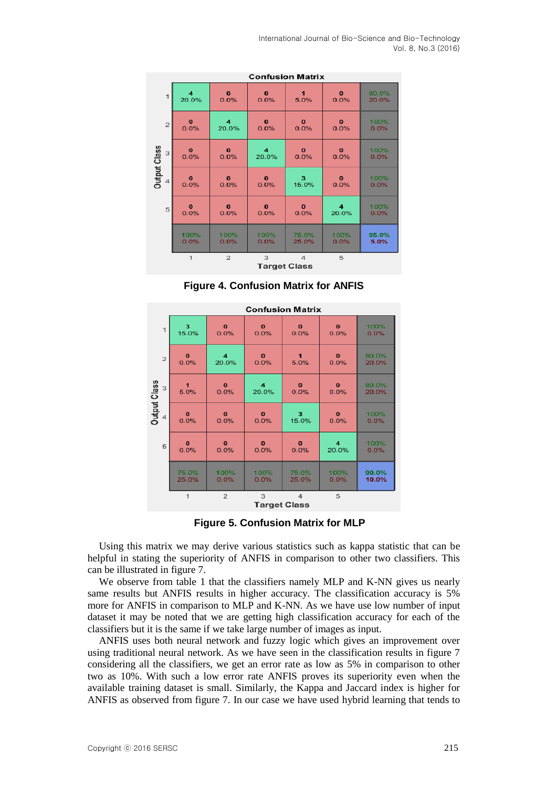|                     | <b>Confusion Matrix</b> |                |                     |                |          |       |  |  |  |
|---------------------|-------------------------|----------------|---------------------|----------------|----------|-------|--|--|--|
| $\overline{1}$      | 4                       | $\bf{0}$       | $\bf{0}$            | $\mathbf{1}$   | $\bf{o}$ | 80.0% |  |  |  |
|                     | 20.0%                   | 0.0%           | 0.0%                | 5.0%           | 0.0%     | 20.0% |  |  |  |
| $\mathbf{Z}$        | $\bf{o}$                | 4              | $\mathbf{o}$        | $\bf{0}$       | $\bf{o}$ | 100%  |  |  |  |
|                     | 0.0%                    | 20.0%          | 0.0%                | 0.0%           | 0.0%     | 0.0%  |  |  |  |
| Output Class        | $\mathbf{o}$            | $\mathbf{o}$   | $\overline{\bf{4}}$ | $\mathbf{o}$   | $\bf{o}$ | 100%  |  |  |  |
| 3                   | 0.0%                    | 0.0%           | 20.0%               | 0.0%           | 0.0%     | 0.0%  |  |  |  |
| 4                   | $\bf{o}$                | $\bf{0}$       | $\bf{0}$            | 3              | $\bf{0}$ | 100%  |  |  |  |
|                     | 0.0%                    | 0.0%           | 0.0%                | 15.0%          | 0.0%     | 0.0%  |  |  |  |
| 5                   | $\bf{o}$                | $\bf{o}$       | $\bf{0}$            | $\bf{0}$       | 4        | 100%  |  |  |  |
|                     | 0.0%                    | 0.0%           | 0.0%                | 0.0%           | 20.0%    | 0.0%  |  |  |  |
|                     | 100%                    | 100%           | 100%                | 75.0%          | 100%     | 95.0% |  |  |  |
|                     | 0.0%                    | 0.0%           | 0.0%                | 25.0%          | 0.0%     | 5.0%  |  |  |  |
|                     | $\mathbf{1}$            | $\mathfrak{p}$ | 3                   | $\overline{4}$ | 5        |       |  |  |  |
| <b>Target Class</b> |                         |                |                     |                |          |       |  |  |  |

**Figure 4. Confusion Matrix for ANFIS**

| <b>Confusion Matrix</b> |                |                |             |                |                     |       |  |  |  |
|-------------------------|----------------|----------------|-------------|----------------|---------------------|-------|--|--|--|
| $\mathbf{1}$            | 3              | $\bf{o}$       | $\bf{0}$    | $\bf{0}$       | $\bf{0}$            | 100%  |  |  |  |
|                         | 15.0%          | 0.0%           | 0.0%        | 0.0%           | 0.0%                | 0.0%  |  |  |  |
| $\overline{2}$          | $\bf{0}$       | 4              | $\bf{0}$    | $\blacksquare$ | $\bf{o}$            | 80.0% |  |  |  |
|                         | 0.0%           | 20.0%          | 0.0%        | 5.0%           | 0.0%                | 20.0% |  |  |  |
| <b>Dutput Class</b>     | $\blacksquare$ | $\bf{0}$       | 4           | $\Omega$       | $\mathbf{0}$        | 80.0% |  |  |  |
| 3                       | 5.0%           | 0.0%           | 20.0%       | 0.0%           | 0.0%                | 20.0% |  |  |  |
| 4                       | $\bf{0}$       | $\mathbf{0}$   | $\bf{0}$    | 3              | $\bf{0}$            | 100%  |  |  |  |
|                         | 0.0%           | 0.0%           | 0.0%        | 15.0%          | 0.0%                | 0.0%  |  |  |  |
| 5                       | $\mathbf{o}$   | $\bf{0}$       | $\mathbf 0$ | $\mathbf{o}$   | $\overline{\bf{4}}$ | 100%  |  |  |  |
|                         | 0.0%           | 0.0%           | 0.0%        | 0.0%           | 20.0%               | 0.0%  |  |  |  |
|                         | 75.0%          | 100%           | 100%        | 75.0%          | 100%                | 90.0% |  |  |  |
|                         | 25.0%          | 0.0%           | 0.0%        | 25.0%          | 0.0%                | 10.0% |  |  |  |
|                         | $\overline{1}$ | $\overline{2}$ | 3           | $\overline{4}$ | 5                   |       |  |  |  |
| <b>Target Class</b>     |                |                |             |                |                     |       |  |  |  |

**Figure 5. Confusion Matrix for MLP**

Using this matrix we may derive various statistics such as kappa statistic that can be helpful in stating the superiority of ANFIS in comparison to other two classifiers. This can be illustrated in figure 7.

We observe from table 1 that the classifiers namely MLP and K-NN gives us nearly same results but ANFIS results in higher accuracy. The classification accuracy is 5% more for ANFIS in comparison to MLP and K-NN. As we have use low number of input dataset it may be noted that we are getting high classification accuracy for each of the classifiers but it is the same if we take large number of images as input.

ANFIS uses both neural network and fuzzy logic which gives an improvement over using traditional neural network. As we have seen in the classification results in figure 7 considering all the classifiers, we get an error rate as low as 5% in comparison to other two as 10%. With such a low error rate ANFIS proves its superiority even when the available training dataset is small. Similarly, the Kappa and Jaccard index is higher for ANFIS as observed from figure 7. In our case we have used hybrid learning that tends to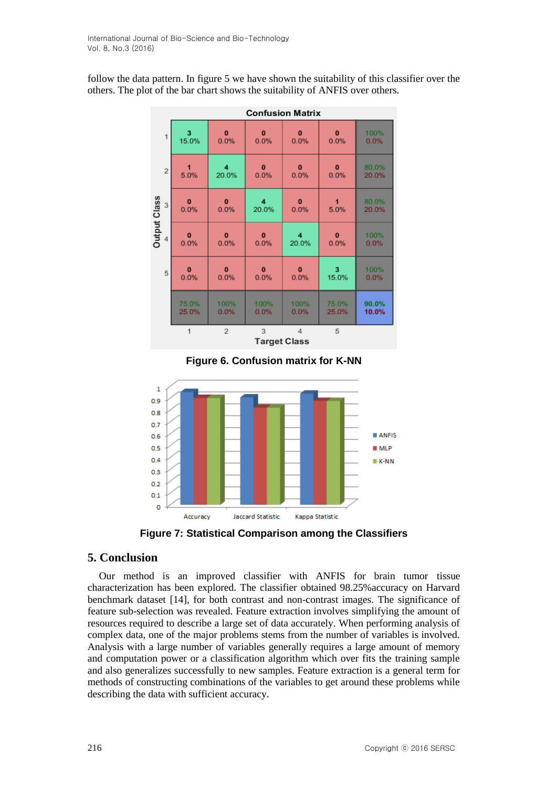follow the data pattern. In figure 5 we have shown the suitability of this classifier over the others. The plot of the bar chart shows the suitability of ANFIS over others.

|                     | <b>Confusion Matrix</b> |                         |                          |                |                         |       |  |  |  |  |  |
|---------------------|-------------------------|-------------------------|--------------------------|----------------|-------------------------|-------|--|--|--|--|--|
| $\mathbf{1}$        | 3                       | $\bf{0}$                | $\bf{0}$                 | $\bf{0}$       | $\mathbf{0}$            | 100%  |  |  |  |  |  |
|                     | 15.0%                   | 0.0%                    | 0.0%                     | 0.0%           | 0.0%                    | 0.0%  |  |  |  |  |  |
| $\sqrt{2}$          | 1                       | $\overline{\mathbf{4}}$ | $\mathbf{0}$             | $\bf{0}$       | $\mathbf{0}$            | 80.0% |  |  |  |  |  |
|                     | 5.0%                    | 20.0%                   | 0.0%                     | 0.0%           | 0.0%                    | 20.0% |  |  |  |  |  |
| <b>Output Class</b> | $\bf{0}$                | $\bf{0}$                | 4                        | $\bf{0}$       | 1                       | 80.0% |  |  |  |  |  |
| 3                   | 0.0%                    | 0.0%                    | 20.0%                    | 0.0%           | 5.0%                    | 20.0% |  |  |  |  |  |
| 4                   | $\bf{0}$                | $\bf{0}$                | $\bf{0}$                 | 4              | $\bf{0}$                | 100%  |  |  |  |  |  |
|                     | 0.0%                    | 0.0%                    | 0.0%                     | 20.0%          | 0.0%                    | 0.0%  |  |  |  |  |  |
| 5                   | $\mathbf{0}$            | $\mathbf{0}$            | $\bf{0}$                 | $\mathbf{0}$   | $\overline{\mathbf{3}}$ | 100%  |  |  |  |  |  |
|                     | 0.0%                    | 0.0%                    | 0.0%                     | 0.0%           | 15.0%                   | 0.0%  |  |  |  |  |  |
|                     | 75.0%                   | 100%                    | 100%                     | 100%           | 75.0%                   | 90.0% |  |  |  |  |  |
|                     | 25.0%                   | 0.0%                    | 0.0%                     | 0.0%           | 25.0%                   | 10.0% |  |  |  |  |  |
|                     | $\mathbf{1}$            | $\overline{2}$          | 3<br><b>Target Class</b> | $\overline{4}$ | 5                       |       |  |  |  |  |  |

**Figure 6. Confusion matrix for K-NN**



**Figure 7: Statistical Comparison among the Classifiers**

## **5. Conclusion**

Our method is an improved classifier with ANFIS for brain tumor tissue characterization has been explored. The classifier obtained 98.25%accuracy on Harvard benchmark dataset [14], for both contrast and non-contrast images. The significance of feature sub-selection was revealed. Feature extraction involves simplifying the amount of resources required to describe a large set of data accurately. When performing analysis of complex data, one of the major problems stems from the number of variables is involved. Analysis with a large number of variables generally requires a large amount of memory and computation power or a classification algorithm which over fits the training sample and also generalizes successfully to new samples. Feature extraction is a general term for methods of constructing combinations of the variables to get around these problems while describing the data with sufficient accuracy.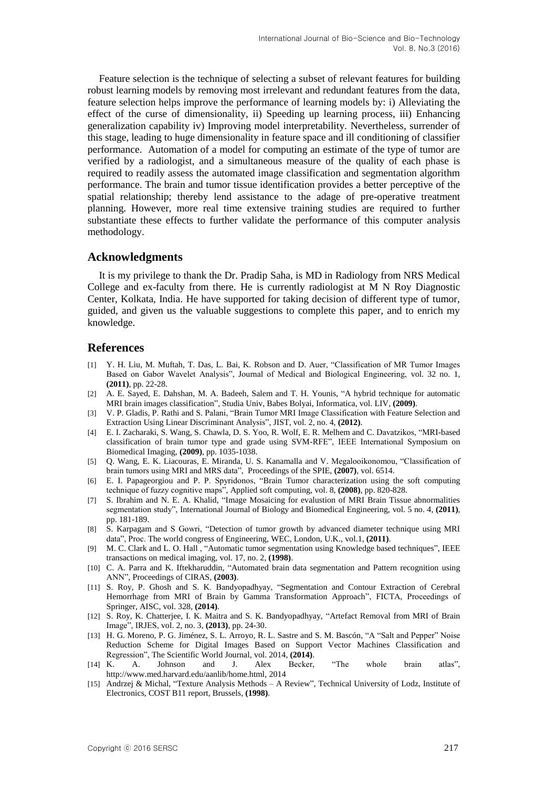Feature selection is the technique of selecting a subset of relevant features for building robust learning models by removing most irrelevant and redundant features from the data, feature selection helps improve the performance of learning models by: i) Alleviating the effect of the curse of dimensionality, ii) Speeding up learning process, iii) Enhancing generalization capability iv) Improving model interpretability. Nevertheless, surrender of this stage, leading to huge dimensionality in feature space and ill conditioning of classifier performance. Automation of a model for computing an estimate of the type of tumor are verified by a radiologist, and a simultaneous measure of the quality of each phase is required to readily assess the automated image classification and segmentation algorithm performance. The brain and tumor tissue identification provides a better perceptive of the spatial relationship; thereby lend assistance to the adage of pre-operative treatment planning. However, more real time extensive training studies are required to further substantiate these effects to further validate the performance of this computer analysis methodology.

#### **Acknowledgments**

It is my privilege to thank the Dr. Pradip Saha, is MD in Radiology from NRS Medical College and ex-faculty from there. He is currently radiologist at M N Roy Diagnostic Center, Kolkata, India. He have supported for taking decision of different type of tumor, guided, and given us the valuable suggestions to complete this paper, and to enrich my knowledge.

### **References**

- [1] Y. H. Liu, M. Muftah, T. Das, L. Bai, K. Robson and D. Auer, "Classification of MR Tumor Images Based on Gabor Wavelet Analysis", Journal of Medical and Biological Engineering, vol. 32 no. 1, **(2011)**, pp. 22-28.
- [2] A. E. Sayed, E. Dahshan, M. A. Badeeh, Salem and T. H. Younis, "A hybrid technique for automatic MRI brain images classification", Studia Univ, Babes Bolyai, Informatica, vol. LIV, **(2009)**.
- [3] V. P. Gladis, P. Rathi and S. Palani, "Brain Tumor MRI Image Classification with Feature Selection and Extraction Using Linear Discriminant Analysis", JIST, vol. 2, no. 4, **(2012)**.
- [4] E. I. Zacharaki, S. Wang, S. Chawla, D. S. Yoo, R. Wolf, E. R. Melhem and C. Davatzikos, "MRI-based classification of brain tumor type and grade using SVM-RFE", IEEE International Symposium on Biomedical Imaging, **(2009)**, pp. 1035-1038.
- [5] Q. Wang, E. K. Liacouras, E. Miranda, U. S. Kanamalla and V. Megalooikonomou, "Classification of brain tumors using MRI and MRS data", Proceedings of the SPIE, **(2007)**, vol. 6514.
- [6] E. I. Papageorgiou and P. P. Spyridonos, "Brain Tumor characterization using the soft computing technique of fuzzy cognitive maps", Applied soft computing, vol. 8, **(2008)**, pp. 820-828.
- [7] S. Ibrahim and N. E. A. Khalid, "Image Mosaicing for evalustion of MRI Brain Tissue abnormalities segmentation study", International Journal of Biology and Biomedical Engineering, vol. 5 no. 4, **(2011)**, pp. 181-189.
- [8] S. Karpagam and S Gowri, "Detection of tumor growth by advanced diameter technique using MRI data", Proc. The world congress of Engineering, WEC, London, U.K., vol.1, **(2011)**.
- [9] M. C. Clark and L. O. Hall , "Automatic tumor segmentation using Knowledge based techniques", IEEE transactions on medical imaging, vol. 17, no. 2, **(1998)**.
- [10] C. A. Parra and K. Iftekharuddin, "Automated brain data segmentation and Pattern recognition using ANN", Proceedings of CIRAS, **(2003)**.
- [11] S. Roy, P. Ghosh and S. K. Bandyopadhyay, "Segmentation and Contour Extraction of Cerebral Hemorrhage from MRI of Brain by Gamma Transformation Approach", FICTA, Proceedings of Springer, AISC, vol. 328, **(2014)**.
- [12] S. Roy, K. Chatterjee, I. K. Maitra and S. K. Bandyopadhyay, "Artefact Removal from MRI of Brain Image", IRJES, vol. 2, no. 3, **(2013)**, pp. 24-30.
- [13] H. G. Moreno, P. G. Jiménez, S. L. Arroyo, R. L. Sastre and S. M. Bascón, "A "Salt and Pepper" Noise Reduction Scheme for Digital Images Based on Support Vector Machines Classification and Regression", The Scientific World Journal, vol. 2014, **(2014)**.
- [14] K. A. Johnson and J. Alex Becker, "The whole brain atlas", http://www.med.harvard.edu/aanlib/home.html, 2014
- [15] Andrzej & Michal, "Texture Analysis Methods A Review", Technical University of Lodz, Institute of Electronics, COST B11 report, Brussels, **(1998)**.